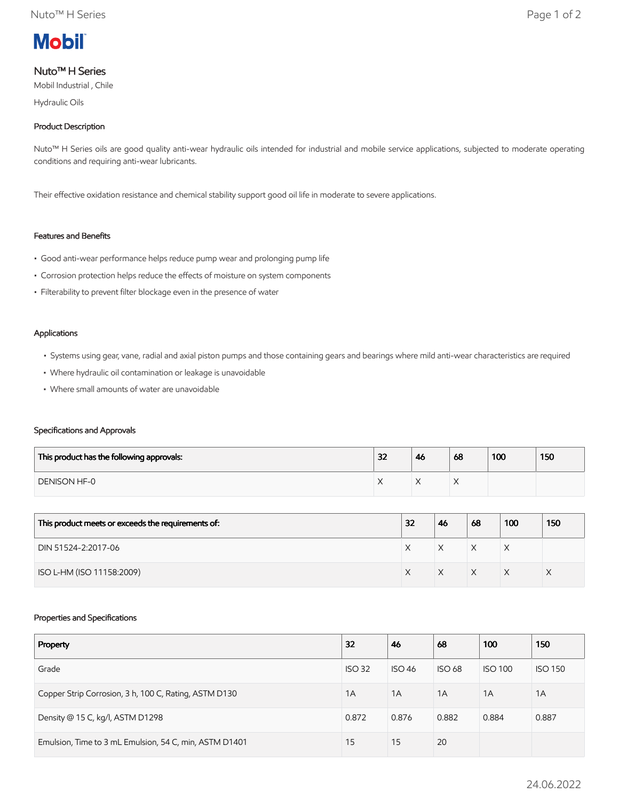

# Nuto™ H Series

Mobil Industrial , Chile

Hydraulic Oils

## Product Description

Nuto<sup>™</sup> H Series oils are good quality anti-wear hydraulic oils intended for industrial and mobile service applications, subjected to moderate operating conditions and requiring anti-wear lubricants.

Their effective oxidation resistance and chemical stability support good oil life in moderate to severe applications.

# Features and Benefits

- Good anti-wear performance helps reduce pump wear and prolonging pump life
- Corrosion protection helps reduce the effects of moisture on system components
- Filterability to prevent filter blockage even in the presence of water

#### Applications

- Systems using gear, vane, radial and axial piston pumps and those containing gears and bearings where mild anti-wear characteristics are required
- Where hydraulic oil contamination or leakage is unavoidable
- Where small amounts of water are unavoidable

### Specifications and Approvals

| This product has the following approvals: | 32 | 46 | 68 | 100 | 150 |
|-------------------------------------------|----|----|----|-----|-----|
| <b>DENISON HF-0</b>                       |    |    |    |     |     |

| This product meets or exceeds the requirements of: | 32 | 46 | 68 | 100 | 150 |
|----------------------------------------------------|----|----|----|-----|-----|
| DIN 51524-2:2017-06                                |    | X  | X  | ⋏   |     |
| ISO L-HM (ISO 11158:2009)                          |    |    | X  |     |     |

### Properties and Specifications

| Property                                               | 32            | 46            | 68            | 100            | 150            |
|--------------------------------------------------------|---------------|---------------|---------------|----------------|----------------|
| Grade                                                  | <b>ISO 32</b> | <b>ISO 46</b> | <b>ISO 68</b> | <b>ISO 100</b> | <b>ISO 150</b> |
| Copper Strip Corrosion, 3 h, 100 C, Rating, ASTM D130  | 1A            | 1A            | 1A            | 1A             | 1A             |
| Density @ 15 C, kg/l, ASTM D1298                       | 0.872         | 0.876         | 0.882         | 0.884          | 0.887          |
| Emulsion, Time to 3 mL Emulsion, 54 C, min, ASTM D1401 | 15            | 15            | 20            |                |                |